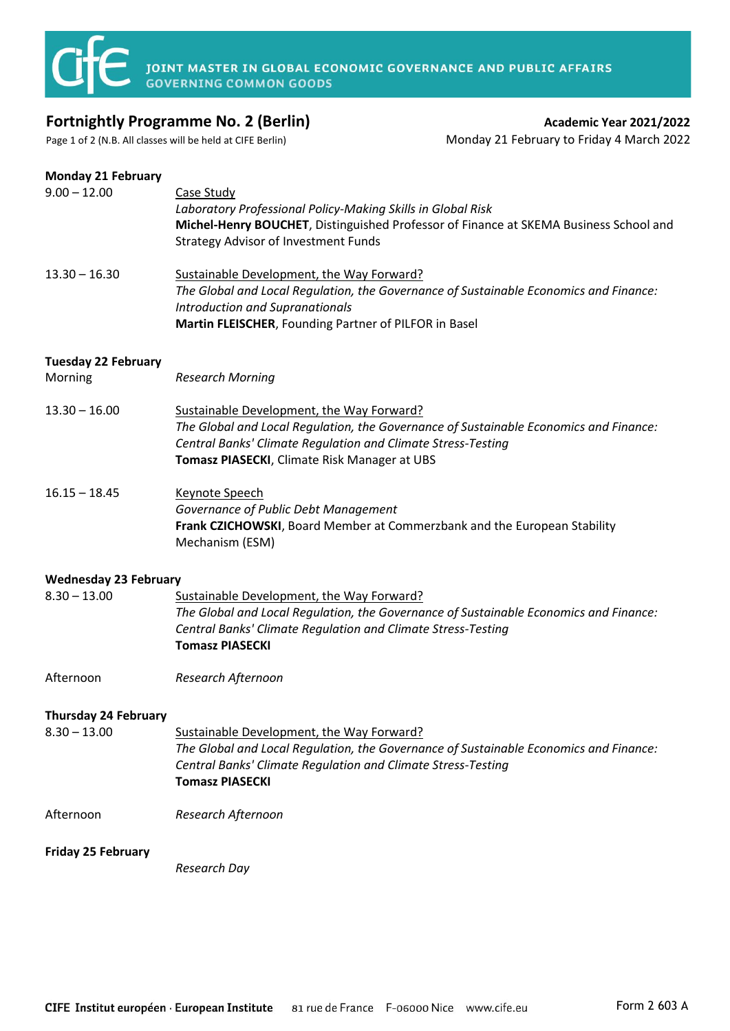

### **Fortnightly Programme No. 2 (Berlin) Academic Year 2021/2022**

# Page 1 of 2 (N.B. All classes will be held at CIFE Berlin) Monday 21 February to Friday 4 March 2022

#### **Monday 21 February**

| $9.00 - 12.00$                                | Case Study<br>Laboratory Professional Policy-Making Skills in Global Risk<br>Michel-Henry BOUCHET, Distinguished Professor of Finance at SKEMA Business School and<br><b>Strategy Advisor of Investment Funds</b>                                  |
|-----------------------------------------------|----------------------------------------------------------------------------------------------------------------------------------------------------------------------------------------------------------------------------------------------------|
| $13.30 - 16.30$                               | Sustainable Development, the Way Forward?<br>The Global and Local Regulation, the Governance of Sustainable Economics and Finance:<br><b>Introduction and Supranationals</b><br>Martin FLEISCHER, Founding Partner of PILFOR in Basel              |
| <b>Tuesday 22 February</b><br>Morning         | <b>Research Morning</b>                                                                                                                                                                                                                            |
| $13.30 - 16.00$                               | Sustainable Development, the Way Forward?<br>The Global and Local Regulation, the Governance of Sustainable Economics and Finance:<br>Central Banks' Climate Regulation and Climate Stress-Testing<br>Tomasz PIASECKI, Climate Risk Manager at UBS |
| $16.15 - 18.45$                               | <b>Keynote Speech</b><br>Governance of Public Debt Management<br>Frank CZICHOWSKI, Board Member at Commerzbank and the European Stability<br>Mechanism (ESM)                                                                                       |
| <b>Wednesday 23 February</b>                  |                                                                                                                                                                                                                                                    |
| $8.30 - 13.00$                                | Sustainable Development, the Way Forward?<br>The Global and Local Regulation, the Governance of Sustainable Economics and Finance:<br>Central Banks' Climate Regulation and Climate Stress-Testing<br><b>Tomasz PIASECKI</b>                       |
| Afternoon                                     | Research Afternoon                                                                                                                                                                                                                                 |
| <b>Thursday 24 February</b><br>$8.30 - 13.00$ | Sustainable Development, the Way Forward?<br>The Global and Local Regulation, the Governance of Sustainable Economics and Finance:<br>Central Banks' Climate Regulation and Climate Stress-Testing<br><b>Tomasz PIASECKI</b>                       |
| Afternoon                                     | Research Afternoon                                                                                                                                                                                                                                 |
| <b>Friday 25 February</b>                     | Research Day                                                                                                                                                                                                                                       |